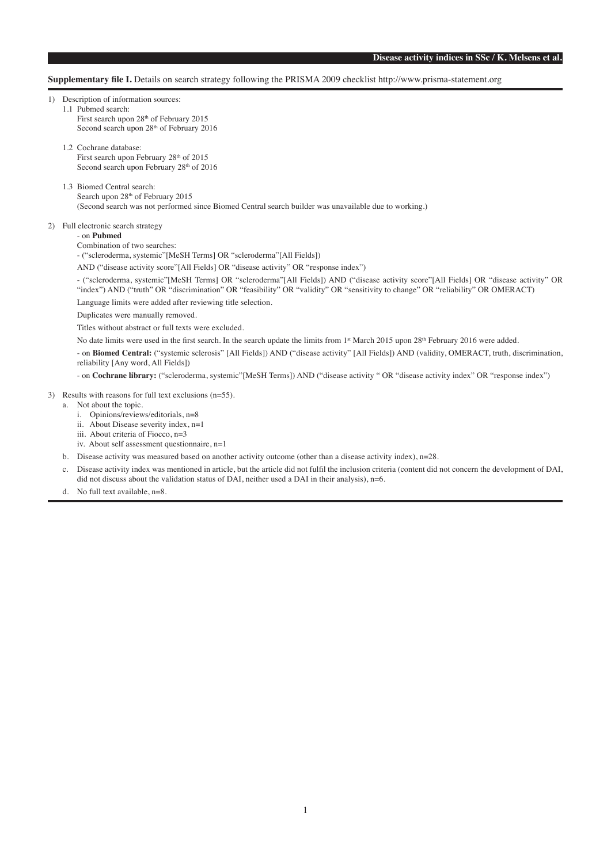**Supplementary file I.** Details on search strategy following the PRISMA 2009 checklist http://www.prisma-statement.org

1) Description of information sources:

- 1.1 Pubmed search: First search upon 28<sup>th</sup> of February 2015 Second search upon 28<sup>th</sup> of February 2016
- 1.2 Cochrane database: First search upon February 28<sup>th</sup> of 2015 Second search upon February 28<sup>th</sup> of 2016
- 1.3 Biomed Central search: Search upon  $28<sup>th</sup>$  of February 2015

(Second search was not performed since Biomed Central search builder was unavailable due to working.)

2) Full electronic search strategy

# - on **Pubmed**

Combination of two searches:

- ("scleroderma, systemic"[MeSH Terms] OR "scleroderma"[All Fields])

AND ("disease activity score"[All Fields] OR "disease activity" OR "response index")

 - ("scleroderma, systemic"[MeSH Terms] OR "scleroderma"[All Fields]) AND ("disease activity score"[All Fields] OR "disease activity" OR "index") AND ("truth" OR "discrimination" OR "feasibility" OR "validity" OR "sensitivity to change" OR "reliability" OR OMERACT) Language limits were added after reviewing title selection.

Duplicates were manually removed.

Titles without abstract or full texts were excluded.

No date limits were used in the first search. In the search update the limits from 1st March 2015 upon 28<sup>th</sup> February 2016 were added. - on **Biomed Central:** ("systemic sclerosis" [All Fields]) AND ("disease activity" [All Fields]) AND (validity, OMERACT, truth, discrimination, reliability [Any word, All Fields])

- on **Cochrane library:** ("scleroderma, systemic"[MeSH Terms]) AND ("disease activity " OR "disease activity index" OR "response index")

### 3) Results with reasons for full text exclusions (n=55).

- a. Not about the topic.
	- i. Opinions/reviews/editorials, n=8
	- ii. About Disease severity index, n=1
	- iii. About criteria of Fiocco, n=3
	- iv. About self assessment questionnaire, n=1
- b. Disease activity was measured based on another activity outcome (other than a disease activity index), n=28.
- c. Disease activity index was mentioned in article, but the article did not fulfil the inclusion criteria (content did not concern the development of DAI, did not discuss about the validation status of DAI, neither used a DAI in their analysis), n=6.
- d. No full text available, n=8.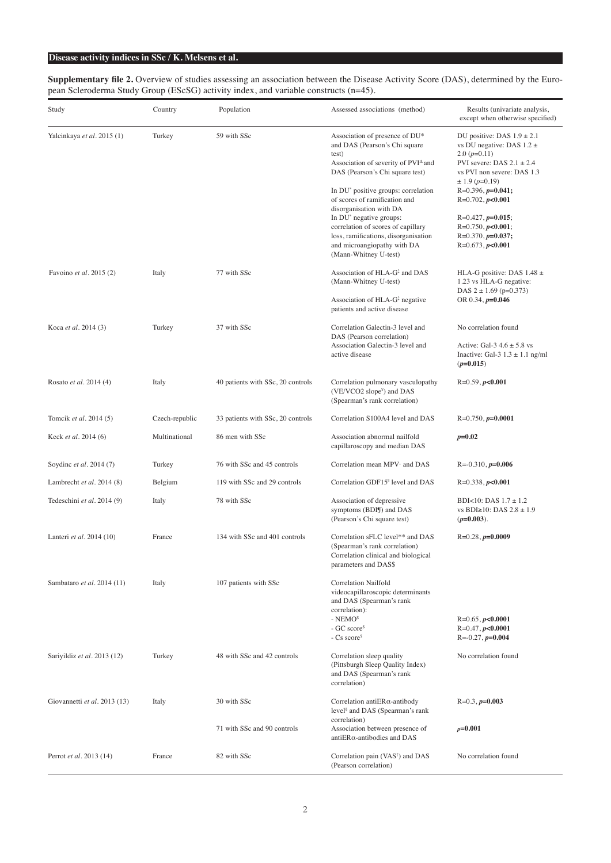**Supplementary file 2.** Overview of studies assessing an association between the Disease Activity Score (DAS), determined by the European Scleroderma Study Group (EScSG) activity index, and variable constructs (n=45).

| Study                        | Country        | Population                        | Assessed associations (method)                                                                                                                                            | Results (univariate analysis,<br>except when otherwise specified)                                                                                                     |
|------------------------------|----------------|-----------------------------------|---------------------------------------------------------------------------------------------------------------------------------------------------------------------------|-----------------------------------------------------------------------------------------------------------------------------------------------------------------------|
| Yalcinkaya et al. 2015 (1)   | Turkey         | 59 with SSc                       | Association of presence of DU*<br>and DAS (Pearson's Chi square<br>test)<br>Association of severity of PVI <sup>A</sup> and<br>DAS (Pearson's Chi square test)            | DU positive: DAS $1.9 \pm 2.1$<br>vs DU negative: DAS $1.2 \pm$<br>$2.0(p=0.11)$<br>PVI severe: DAS $2.1 \pm 2.4$<br>vs PVI non severe: DAS 1.3<br>$\pm$ 1.9 (p=0.19) |
|                              |                |                                   | In DU <sup>*</sup> positive groups: correlation<br>of scores of ramification and<br>disorganisation with DA                                                               | $R=0.396, p=0.041;$<br>$R=0.702, p<0.001$                                                                                                                             |
|                              |                |                                   | In DU <sup>*</sup> negative groups:<br>correlation of scores of capillary<br>loss, ramifications, disorganisation<br>and microangiopathy with DA<br>(Mann-Whitney U-test) | $R=0.427, p=0.015;$<br>$R=0.750, p<0.001;$<br>$R=0.370, p=0.037;$<br>$R=0.673, p<0.001$                                                                               |
| Favoino et al. 2015 (2)      | Italy          | 77 with SSc                       | Association of HLA-G <sup>1</sup> and DAS<br>(Mann-Whitney U-test)                                                                                                        | HLA-G positive: DAS $1.48 \pm$<br>1.23 vs HLA-G negative:<br>DAS $2 \pm 1.69$ (p=0.373)                                                                               |
|                              |                |                                   | Association of $HLA-G1$ negative<br>patients and active disease                                                                                                           | OR 0.34, $p=0.046$                                                                                                                                                    |
| Koca et al. 2014 (3)         | Turkey         | 37 with SSc                       | Correlation Galectin-3 level and<br>DAS (Pearson correlation)                                                                                                             | No correlation found                                                                                                                                                  |
|                              |                |                                   | Association Galectin-3 level and<br>active disease                                                                                                                        | Active: Gal-3 $4.6 \pm 5.8$ vs<br>Inactive: Gal-3 $1.3 \pm 1.1$ ng/ml<br>$(p=0.015)$                                                                                  |
| Rosato et al. 2014 (4)       | Italy          | 40 patients with SSc, 20 controls | Correlation pulmonary vasculopathy<br>(VE/VCO2 slope <sup>y</sup> ) and DAS<br>(Spearman's rank correlation)                                                              | $R=0.59, p<0.001$                                                                                                                                                     |
| Tomcik et al. 2014 (5)       | Czech-republic | 33 patients with SSc, 20 controls | Correlation S100A4 level and DAS                                                                                                                                          | $R=0.750, p=0.0001$                                                                                                                                                   |
| Keck et al. 2014 (6)         | Multinational  | 86 men with SSc                   | Association abnormal nailfold<br>capillaroscopy and median DAS                                                                                                            | $p=0.02$                                                                                                                                                              |
| Soydinc et al. 2014 (7)      | Turkey         | 76 with SSc and 45 controls       | Correlation mean MPV and DAS                                                                                                                                              | $R = -0.310$ , $p = 0.006$                                                                                                                                            |
| Lambrecht et al. 2014 (8)    | Belgium        | 119 with SSc and 29 controls      | Correlation GDF15 <sup>"</sup> level and DAS                                                                                                                              | $R=0.338, p<0.001$                                                                                                                                                    |
| Tedeschini et al. 2014 (9)   | Italy          | 78 with SSc                       | Association of depressive<br>symptoms (BDIJ) and DAS<br>(Pearson's Chi square test)                                                                                       | BDI<10: DAS $1.7 \pm 1.2$<br>vs BDI≥10: DAS $2.8 \pm 1.9$<br>$(p=0.003)$ .                                                                                            |
| Lanteri et al. 2014 (10)     | France         | 134 with SSc and 401 controls     | Correlation sFLC level** and DAS<br>(Spearman's rank correlation)<br>Correlation clinical and biological<br>parameters and DAS\$                                          | $R=0.28, p=0.0009$                                                                                                                                                    |
| Sambataro et al. 2014 (11)   | Italy          | 107 patients with SSc             | Correlation Nailfold<br>videocapillaroscopic determinants<br>and DAS (Spearman's rank<br>correlation):                                                                    |                                                                                                                                                                       |
|                              |                |                                   | $-$ NEMO <sup>\$</sup><br>$-GC$ score <sup>§</sup><br>$-Cs score5$                                                                                                        | $R=0.65, p<0.0001$<br>$R=0.47, p<0.0001$<br>$R = -0.27$ , $p = 0.004$                                                                                                 |
| Sariyildiz et al. 2013 (12)  | Turkey         | 48 with SSc and 42 controls       | Correlation sleep quality<br>(Pittsburgh Sleep Quality Index)<br>and DAS (Spearman's rank<br>correlation)                                                                 | No correlation found                                                                                                                                                  |
| Giovannetti et al. 2013 (13) | Italy          | 30 with SSc                       | Correlation anti $ER\alpha$ -antibody<br>level <sup>§</sup> and DAS (Spearman's rank<br>correlation)                                                                      | $R=0.3, p=0.003$                                                                                                                                                      |
|                              |                | 71 with SSc and 90 controls       | Association between presence of<br>antiERa-antibodies and DAS                                                                                                             | $p=0.001$                                                                                                                                                             |
| Perrot et al. 2013 (14)      | France         | 82 with SSc                       | Correlation pain (VAS <sup>†</sup> ) and DAS<br>(Pearson correlation)                                                                                                     | No correlation found                                                                                                                                                  |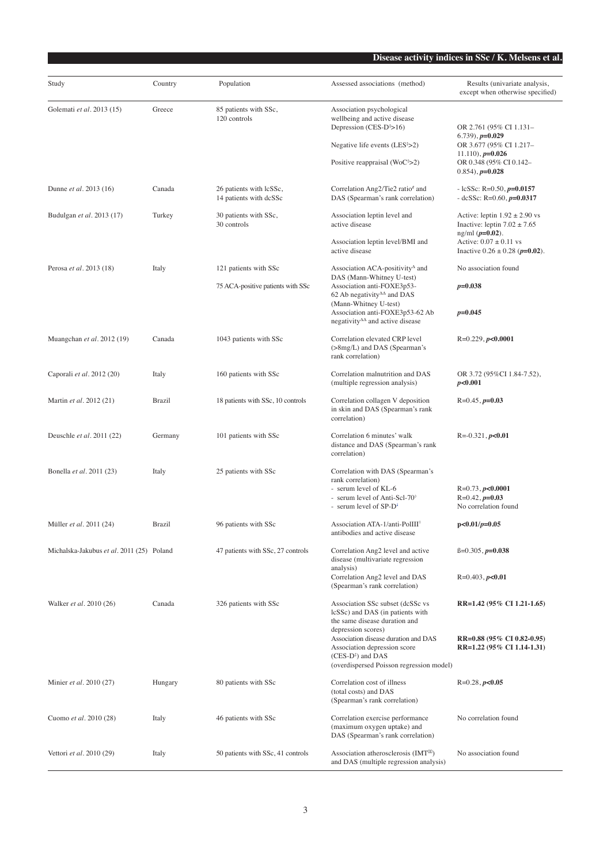| Study                                     | Country       | Population                                        | Assessed associations (method)                                                                                                                                | Results (univariate analysis,                                                              |
|-------------------------------------------|---------------|---------------------------------------------------|---------------------------------------------------------------------------------------------------------------------------------------------------------------|--------------------------------------------------------------------------------------------|
|                                           |               |                                                   |                                                                                                                                                               | except when otherwise specified)                                                           |
| Golemati et al. 2013 (15)                 | Greece        | 85 patients with SSc,<br>120 controls             | Association psychological<br>wellbeing and active disease<br>Depression (CES- $D^{\dagger} > 16$ )                                                            | OR 2.761 (95% CI 1.131-                                                                    |
|                                           |               |                                                   | Negative life events $(LES^{\dagger} > 2)$                                                                                                                    | $(6.739), p=0.029$<br>OR 3.677 (95% CI 1.217-                                              |
|                                           |               |                                                   | Positive reappraisal $(WoC†>2)$                                                                                                                               | $11.110$ , $p=0.026$<br>OR 0.348 (95% CI 0.142-<br>$(0.854)$ , $p=0.028$                   |
| Dunne et al. 2013 (16)                    | Canada        | 26 patients with lcSSc,<br>14 patients with dcSSc | Correlation Ang2/Tie2 ratio# and<br>DAS (Spearman's rank correlation)                                                                                         | - lcSSc: R=0.50, $p=0.0157$<br>- dcSSc: R=0.60, $p=0.0317$                                 |
| Budulgan et al. 2013 (17)                 | Turkey        | 30 patients with SSc,<br>30 controls              | Association leptin level and<br>active disease                                                                                                                | Active: leptin $1.92 \pm 2.90$ vs<br>Inactive: leptin $7.02 \pm 7.65$                      |
|                                           |               |                                                   | Association leptin level/BMI and<br>active disease                                                                                                            | $ng/ml (p=0.02)$ .<br>Active: $0.07 \pm 0.11$ vs<br>Inactive $0.26 \pm 0.28$ ( $p=0.02$ ). |
| Perosa et al. 2013 (18)                   | Italy         | 121 patients with SSc                             | Association ACA-positivity <sup>4</sup> and<br>DAS (Mann-Whitney U-test)                                                                                      | No association found                                                                       |
|                                           |               | 75 ACA-positive patients with SSc                 | Association anti-FOXE3p53-<br>62 Ab negativity $\Delta\Delta$ and DAS                                                                                         | $p=0.038$                                                                                  |
|                                           |               |                                                   | (Mann-Whitney U-test)<br>Association anti-FOXE3p53-62 Ab<br>negativity $\Delta \Delta$ and active disease                                                     | $p=0.045$                                                                                  |
| Muangchan et al. 2012 (19)                | Canada        | 1043 patients with SSc                            | Correlation elevated CRP level<br>(>8mg/L) and DAS (Spearman's<br>rank correlation)                                                                           | $R=0.229$ , $p<0.0001$                                                                     |
| Caporali et al. 2012 (20)                 | Italy         | 160 patients with SSc                             | Correlation malnutrition and DAS<br>(multiple regression analysis)                                                                                            | OR 3.72 (95%CI 1.84-7.52),<br>p<0.001                                                      |
| Martin et al. 2012 (21)                   | <b>Brazil</b> | 18 patients with SSc, 10 controls                 | Correlation collagen V deposition<br>in skin and DAS (Spearman's rank<br>correlation)                                                                         | $R=0.45, p=0.03$                                                                           |
| Deuschle et al. 2011 (22)                 | Germany       | 101 patients with SSc                             | Correlation 6 minutes' walk<br>distance and DAS (Spearman's rank<br>correlation)                                                                              | $R = -0.321, p < 0.01$                                                                     |
| Bonella et al. 2011 (23)                  | Italy         | 25 patients with SSc                              | Correlation with DAS (Spearman's<br>rank correlation)                                                                                                         |                                                                                            |
|                                           |               |                                                   | - serum level of KL-6<br>- serum level of Anti-Scl-70°<br>- serum level of SP-D <sup>+</sup>                                                                  | $R=0.73, p<0.0001$<br>$R=0.42, p=0.03$<br>No correlation found                             |
| Müller <i>et al.</i> 2011 (24)            | <b>Brazil</b> | 96 patients with SSc                              | Association ATA-1/anti-PolIII <sup>®</sup><br>antibodies and active disease                                                                                   | $p<0.01/p=0.05$                                                                            |
| Michalska-Jakubus et al. 2011 (25) Poland |               | 47 patients with SSc, 27 controls                 | Correlation Ang2 level and active<br>disease (multivariate regression                                                                                         | $\beta = 0.305, p = 0.038$                                                                 |
|                                           |               |                                                   | analysis)<br>Correlation Ang2 level and DAS<br>(Spearman's rank correlation)                                                                                  | $R=0.403, p<0.01$                                                                          |
| Walker et al. 2010 (26)                   | Canada        | 326 patients with SSc                             | Association SSc subset (dcSSc vs<br>lcSSc) and DAS (in patients with<br>the same disease duration and                                                         | RR=1.42 (95% CI 1.21-1.65)                                                                 |
|                                           |               |                                                   | depression scores)<br>Association disease duration and DAS<br>Association depression score<br>$(CES-D^*)$ and DAS<br>(overdispersed Poisson regression model) | RR=0.88 (95% CI 0.82-0.95)<br>RR=1.22 (95% CI 1.14-1.31)                                   |
| Minier et al. 2010 (27)                   | Hungary       | 80 patients with SSc                              | Correlation cost of illness<br>(total costs) and DAS<br>(Spearman's rank correlation)                                                                         | $R=0.28, p<0.05$                                                                           |
| Cuomo et al. 2010 (28)                    | Italy         | 46 patients with SSc                              | Correlation exercise performance<br>(maximum oxygen uptake) and<br>DAS (Spearman's rank correlation)                                                          | No correlation found                                                                       |
| Vettori et al. 2010 (29)                  | Italy         | 50 patients with SSc, 41 controls                 | Association atherosclerosis (IMT <sup>III</sup> )<br>and DAS (multiple regression analysis)                                                                   | No association found                                                                       |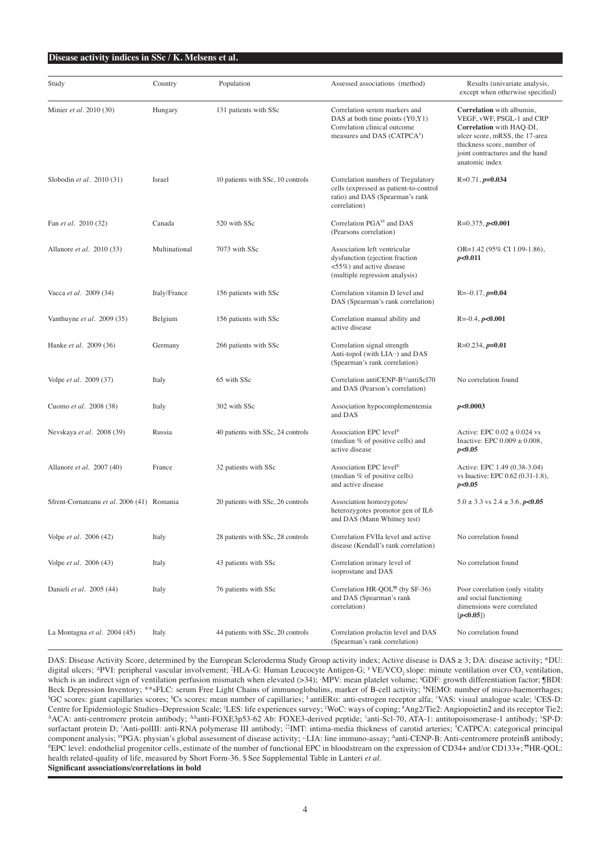| Study                                      | Country       | Population                        | Assessed associations (method)                                                                                                                | Results (univariate analysis,<br>except when otherwise specified)                                                                                                                                       |
|--------------------------------------------|---------------|-----------------------------------|-----------------------------------------------------------------------------------------------------------------------------------------------|---------------------------------------------------------------------------------------------------------------------------------------------------------------------------------------------------------|
| Minier et al. 2010 (30)                    | Hungary       | 131 patients with SSc             | Correlation serum markers and<br>DAS at both time points (Y0,Y1)<br>Correlation clinical outcome<br>measures and DAS (CATPCA <sup>†</sup> )   | Correlation with albumin,<br>VEGF, vWF, PSGL-1 and CRP<br>Correlation with HAQ-DI,<br>ulcer score, mRSS, the 17-area<br>thickness score, number of<br>joint contractures and the hand<br>anatomic index |
| Slobodin et al. 2010 (31)                  | Israel        | 10 patients with SSc, 10 controls | Correlation numbers of Tregulatory<br>cells (expressed as patient-to-control<br>ratio) and DAS (Spearman's rank<br>correlation)               | $R=0.71, p=0.034$                                                                                                                                                                                       |
| Fan et al. 2010 (32)                       | Canada        | 520 with SSc                      | Correlation PGA <sup>¥¥</sup> and DAS<br>(Pearsons correlation)                                                                               | $R=0.375, p<0.001$                                                                                                                                                                                      |
| Allanore et al. 2010 (33)                  | Multinational | 7073 with SSc                     | Association left ventricular<br>dysfunction (ejection fraction<br>$\langle 55\% \rangle$ and active disease<br>(multiple regression analysis) | OR=1.42 (95% CI 1.09-1.86),<br>p<0.011                                                                                                                                                                  |
| Vacca et al. 2009 (34)                     | Italy/France  | 156 patients with SSc             | Correlation vitamin D level and<br>DAS (Spearman's rank correlation)                                                                          | $R = -0.17, p = 0.04$                                                                                                                                                                                   |
| Vanthuyne et al. 2009 (35)                 | Belgium       | 156 patients with SSc             | Correlation manual ability and<br>active disease                                                                                              | $R = 0.4, p < 0.001$                                                                                                                                                                                    |
| Hanke et al. 2009 (36)                     | Germany       | 266 patients with SSc             | Correlation signal strength<br>Anti-topol (with $LIA \cdot \cdot$ ) and DAS<br>(Spearman's rank correlation)                                  | $R=0.234, p=0.01$                                                                                                                                                                                       |
| Volpe et al. 2009 (37)                     | Italy         | 65 with SSc                       | Correlation antiCENP-B <sup>A</sup> /antiScl70<br>and DAS (Pearson's correlation)                                                             | No correlation found                                                                                                                                                                                    |
| Cuomo et al. 2008 (38)                     | Italy         | 302 with SSc                      | Association hypocomplementemia<br>and DAS                                                                                                     | p<0.0003                                                                                                                                                                                                |
| Nevskaya et al. 2008 (39)                  | Russia        | 40 patients with SSc, 24 controls | Association EPC level <sup>®</sup><br>(median % of positive cells) and<br>active disease                                                      | Active: EPC $0.02 \pm 0.024$ vs<br>Inactive: EPC $0.009 \pm 0.008$ ,<br>p<0.05                                                                                                                          |
| Allanore et al. 2007 (40)                  | France        | 32 patients with SSc              | Association EPC level <sup>®</sup><br>(median % of positive cells)<br>and active disease                                                      | Active: EPC 1.49 (0.38-3.04)<br>vs Inactive: EPC 0.62 (0.31-1.8),<br>p<0.05                                                                                                                             |
| Sfrent-Cornateanu et al. 2006 (41) Romania |               | 20 patients with SSc, 26 controls | Association homozygotes/<br>heterozygotes promotor gen of IL6<br>and DAS (Mann Whitney test)                                                  | $5.0 \pm 3.3$ vs $2.4 \pm 3.6$ , $p<0.05$                                                                                                                                                               |
| Volpe et al. 2006 (42)                     | Italy         | 28 patients with SSc, 28 controls | Correlation FVIIa level and active<br>disease (Kendall's rank correlation)                                                                    | No correlation found                                                                                                                                                                                    |
| Volpe et al. 2006 (43)                     | Italy         | 43 patients with SSc              | Correlation urinary level of<br>isoprostane and DAS                                                                                           | No correlation found                                                                                                                                                                                    |
| Danieli et al. 2005 (44)                   | Italy         | 76 patients with SSc              | Correlation HR-QOL <sup>99</sup> (by SF-36)<br>and DAS (Spearman's rank<br>correlation)                                                       | Poor correlation (only vitality<br>and social functioning<br>dimensions were correlated<br>[p<0.05]                                                                                                     |
| La Montagna et al. 2004 (45)               | Italy         | 44 patients with SSc, 20 controls | Correlation prolactin level and DAS<br>(Spearman's rank correlation)                                                                          | No correlation found                                                                                                                                                                                    |

DAS: Disease Activity Score, determined by the European Scleroderma Study Group activity index; Active disease is DAS ≥ 3; DA: disease activity; \*DU: digital ulcers; <sup>A</sup>PVI: peripheral vascular involvement; <sup>2</sup>HLA-G: Human Leucocyte Antigen-G; <sup>¥</sup> VE/VCO<sub>2</sub> slope: minute ventilation over CO<sub>2</sub> ventilation, which is an indirect sign of ventilation perfusion mismatch when elevated (>34); ·MPV: mean platelet volume; <sup>#</sup>GDF: growth differentiation factor; **#BDI**: Beck Depression Inventory; \*\*sFLC: serum Free Light Chains of immunoglobulins, marker of B-cell activity; <sup>\$</sup>NEMO: number of micro-haemorrhages;<br><sup>\$GC</sup> scores: giant capillaries scores: <sup>\$C</sup>s scores: mean number of capillar GC scores: giant capillaries scores; <sup>s</sup>Cs scores: mean number of capillaries; <sup>§</sup> antiERα: anti-estrogen receptor alfa; †VAS: visual analogue scale; ‡CES-D: Centre for Epidemiologic Studies–Depression Scale; <sup>‡</sup>LES: life experiences survey; <sup>‡</sup>WoC: ways of coping; <sup>#</sup>Ang2/Tie2: Angiopoietin2 and its receptor Tie2; AACA: anti-centromere protein antibody; ΔΔanti-FOXE3p53-62 Ab: FOXE3-derived peptide; <sup>8</sup>anti-Scl-70, ATA-1: antitopoisomerase-1 antibody; <sup>1</sup>SP-D: surfactant protein D; <sup>9</sup>Anti-polIII: anti-RNA polymerase III antibody; <sup>12</sup>IMT: intima-media thickness of carotid arteries; 'CATPCA: categorical principal component analysis; <sup>W</sup>PGA: physian's global assessment of disease activity; "LIA: line immuno-assay; <sup>A</sup>anti-CENP-B: Anti-centromere proteinB antibody;<br>"EPC level: endothelial progenitor cells, estimate of the number of f health related-quality of life, measured by Short Form-36. \$ See Supplemental Table in Lanteri *et al.* **Significant associations/correlations in bold**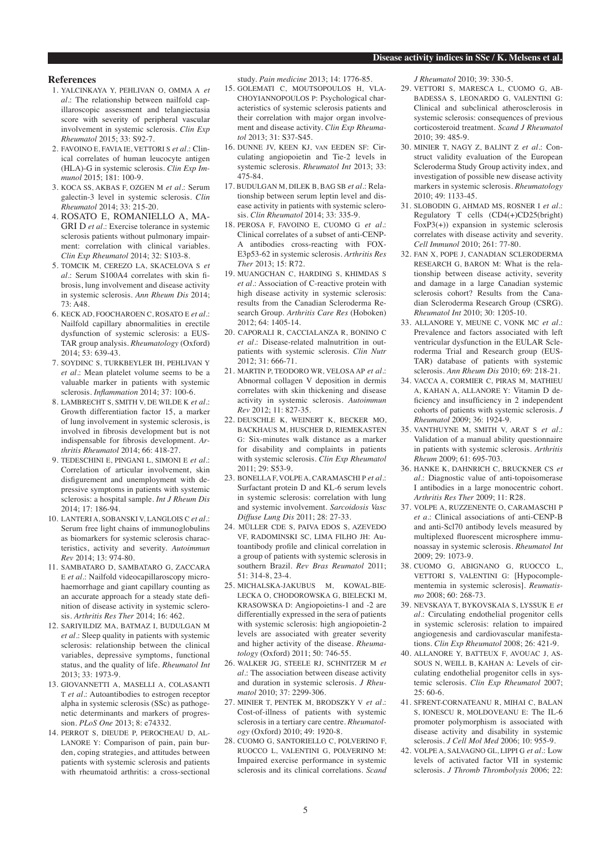#### **References**

- 1. YALCINKAYA Y, PEHLIVAN O, OMMA A *et al.*: The relationship between nailfold capillaroscopic assessment and telangiectasia score with severity of peripheral vascular involvement in systemic sclerosis. *Clin Exp Rheumatol* 2015; 33: S92-7.
- 2. FAVOINO E, FAVIA IE, VETTORI S *et al.*: Clinical correlates of human leucocyte antigen (HLA)-G in systemic sclerosis. *Clin Exp Immunol* 2015; 181: 100-9.
- 3. KOCA SS, AKBAS F, OZGEN M *et al.*: Serum galectin-3 level in systemic sclerosis. *Clin Rheumatol* 2014; 33: 215-20.
- 4. ROSATO E, ROMANIELLO A, MA-GRI D *et al.*: Exercise tolerance in systemic sclerosis patients without pulmonary impairment: correlation with clinical variables. *Clin Exp Rheumatol* 2014; 32: S103-8.
- 5. TOMCIK M, CEREZO LA, SKACELOVA S *et al.*: Serum S100A4 correlates with skin fibrosis, lung involvement and disease activity in systemic sclerosis. *Ann Rheum Dis* 2014; 73: A48.
- 6. KECK AD, FOOCHAROEN C, ROSATO E *et al.*: Nailfold capillary abnormalities in erectile dysfunction of systemic sclerosis: a EUS-TAR group analysis. *Rheumatology* (Oxford) 2014; 53: 639-43.
- 7. SOYDINC S, TURKBEYLER IH, PEHLIVAN Y *et al.*: Mean platelet volume seems to be a valuable marker in patients with systemic sclerosis. *Inflammation* 2014; 37: 100-6.
- 8. LAMBRECHT S, SMITH V, DE WILDE K *et al.*: Growth differentiation factor 15, a marker of lung involvement in systemic sclerosis, is involved in fibrosis development but is not indispensable for fibrosis development. *Arthritis Rheumatol* 2014; 66: 418-27.
- 9. TEDESCHINI E, PINGANI L, SIMONI E *et al.*: Correlation of articular involvement, skin disfigurement and unemployment with depressive symptoms in patients with systemic sclerosis: a hospital sample. *Int J Rheum Dis*  2014; 17: 186-94.
- 10. LANTERI A, SOBANSKI V, LANGLOIS C *et al.*: Serum free light chains of immunoglobulins as biomarkers for systemic sclerosis characteristics, activity and severity. *Autoimmun Rev* 2014; 13: 974-80.
- 11. SAMBATARO D, SAMBATARO G, ZACCARA E *et al.*: Nailfold videocapillaroscopy microhaemorrhage and giant capillary counting as an accurate approach for a steady state definition of disease activity in systemic sclerosis. *Arthritis Res Ther* 2014; 16: 462.
- 12. SARIYILDIZ MA, BATMAZ I, BUDULGAN M *et al.*: Sleep quality in patients with systemic sclerosis: relationship between the clinical variables, depressive symptoms, functional status, and the quality of life. *Rheumatol Int*  2013; 33: 1973-9.
- 13. GIOVANNETTI A, MASELLI A, COLASANTI T *et al.*: Autoantibodies to estrogen receptor alpha in systemic sclerosis (SSc) as pathogenetic determinants and markers of progression. *PLoS One* 2013; 8: e74332.
- 14. PERROT S, DIEUDE P, PEROCHEAU D, AL-LANORE Y: Comparison of pain, pain burden, coping strategies, and attitudes between patients with systemic sclerosis and patients with rheumatoid arthritis: a cross-sectional

study. *Pain medicine* 2013; 14: 1776-85.

- 15. GOLEMATI C, MOUTSOPOULOS H, VLA-CHOYIANNOPOULOS P: Psychological characteristics of systemic sclerosis patients and their correlation with major organ involvement and disease activity. *Clin Exp Rheumatol* 2013; 31: S37-S45.
- 16. DUNNE JV, KEEN KJ, van EEDEN SF: Circulating angiopoietin and Tie-2 levels in systemic sclerosis. *Rheumatol Int* 2013; 33: 475-84.
- 17. BUDULGAN M, DILEK B, BAG SB *et al.*: Relationship between serum leptin level and disease activity in patients with systemic sclerosis. *Clin Rheumatol* 2014; 33: 335-9.
- 18. PEROSA F, FAVOINO E, CUOMO G *et al.*: Clinical correlates of a subset of anti-CENP-A antibodies cross-reacting with FOX-E3p53-62 in systemic sclerosis. *Arthritis Res Ther* 2013; 15: R72.
- 19. MUANGCHAN C, HARDING S, KHIMDAS S *et al.*: Association of C-reactive protein with high disease activity in systemic sclerosis: results from the Canadian Scleroderma Research Group. *Arthritis Care Res* (Hoboken)  $2012 \cdot 64 \cdot 1405 - 14$
- 20. CAPORALI R, CACCIALANZA R, BONINO C *et al.*: Disease-related malnutrition in outpatients with systemic sclerosis. *Clin Nutr* 2012; 31: 666-71.
- 21. MARTIN P, TEODORO WR, VELOSA AP *et al.*: Abnormal collagen V deposition in dermis correlates with skin thickening and disease activity in systemic sclerosis. *Autoimmun Rev* 2012; 11: 827-35.
- 22. DEUSCHLE K, WEINERT K, BECKER MO, BACKHAUS M, HUSCHER D, RIEMEKASTEN G: Six-minutes walk distance as a marker for disability and complaints in patients with systemic sclerosis. *Clin Exp Rheumatol*  2011; 29: S53-9.
- 23. BONELLA F, VOLPE A, CARAMASCHI P *et al.*: Surfactant protein D and KL-6 serum levels in systemic sclerosis: correlation with lung and systemic involvement. *Sarcoidosis Vasc Diffuse Lung Dis* 2011; 28: 27-33.
- 24. MÜLLER CDE S, PAIVA EDOS S, AZEVEDO VF, RADOMINSKI SC, LIMA FILHO JH: Autoantibody profile and clinical correlation in a group of patients with systemic sclerosis in southern Brazil. *Rev Bras Reumatol* 2011; 51: 314-8, 23-4.
- 25. MICHALSKA-JAKUBUS M, KOWAL-BIE-LECKA O, CHODOROWSKA G, BIELECKI M, KRASOWSKA D: Angiopoietins-1 and -2 are differentially expressed in the sera of patients with systemic sclerosis: high angiopoietin-2 levels are associated with greater severity and higher activity of the disease. *Rheumatology* (Oxford) 2011; 50: 746-55.
- 26. WALKER JG, STEELE RJ, SCHNITZER M *et al.*: The association between disease activity and duration in systemic sclerosis. *J Rheumatol* 2010; 37: 2299-306.
- 27. MINIER T, PENTEK M, BRODSZKY V *et al.*: Cost-of-illness of patients with systemic sclerosis in a tertiary care centre. *Rheumatology* (Oxford) 2010; 49: 1920-8.
- 28. CUOMO G, SANTORIELLO C, POLVERINO F, RUOCCO L, VALENTINI G, POLVERINO M: Impaired exercise performance in systemic sclerosis and its clinical correlations. *Scand*

*J Rheumatol* 2010; 39: 330-5.

- 29. VETTORI S, MARESCA L, CUOMO G, AB-BADESSA S, LEONARDO G, VALENTINI G: Clinical and subclinical atherosclerosis in systemic sclerosis: consequences of previous corticosteroid treatment. *Scand J Rheumatol*   $2010 \cdot 39: 485 - 9$ .
- 30. MINIER T, NAGY Z, BALINT Z *et al.*: Construct validity evaluation of the European Scleroderma Study Group activity index, and investigation of possible new disease activity markers in systemic sclerosis. *Rheumatology*  2010; 49: 1133-45.
- 31. SLOBODIN G, AHMAD MS, ROSNER I *et al.*: Regulatory T cells (CD4(+)CD25(bright) FoxP3(+)) expansion in systemic sclerosis correlates with disease activity and severity. *Cell Immunol* 2010; 261: 77-80.
- 32. FAN X, POPE J, CANADIAN SCLERODERMA RESEARCH G, BARON M: What is the relationship between disease activity, severity and damage in a large Canadian systemic sclerosis cohort? Results from the Canadian Scleroderma Research Group (CSRG). *Rheumatol Int* 2010; 30: 1205-10.
- 33. ALLANORE Y, MEUNE C, VONK MC *et al.*: Prevalence and factors associated with left ventricular dysfunction in the EULAR Scleroderma Trial and Research group (EUS-TAR) database of patients with systemic sclerosis. *Ann Rheum Dis* 2010; 69: 218-21.
- 34. VACCA A, CORMIER C, PIRAS M, MATHIEU A, KAHAN A, ALLANORE Y: Vitamin D deficiency and insufficiency in 2 independent cohorts of patients with systemic sclerosis. *J Rheumatol* 2009; 36: 1924-9.
- 35. VANTHUYNE M, SMITH V, ARAT S *et al.*: Validation of a manual ability questionnaire in patients with systemic sclerosis. *Arthritis Rheum* 2009; 61: 695-703.
- 36. HANKE K, DAHNRICH C, BRUCKNER CS *et al.*: Diagnostic value of anti-topoisomerase I antibodies in a large monocentric cohort. *Arthritis Res Ther* 2009; 11: R28.
- 37. VOLPE A, RUZZENENTE O, CARAMASCHI P *et a.*: Clinical associations of anti-CENP-B and anti-Scl70 antibody levels measured by multiplexed fluorescent microsphere immunoassay in systemic sclerosis. *Rheumatol Int*  2009; 29: 1073-9.
- 38. CUOMO G, ABIGNANO G, RUOCCO L, VETTORI S, VALENTINI G: [Hypocomplementemia in systemic sclerosis]. *Reumatismo* 2008; 60: 268-73.
- 39. NEVSKAYA T, BYKOVSKAIA S, LYSSUK E *et al.*: Circulating endothelial progenitor cells in systemic sclerosis: relation to impaired angiogenesis and cardiovascular manifestations. *Clin Exp Rheumatol* 2008; 26: 421-9.
- 40. ALLANORE Y, BATTEUX F, AVOUAC J, AS-SOUS N, WEILL B, KAHAN A: Levels of circulating endothelial progenitor cells in systemic sclerosis. *Clin Exp Rheumatol* 2007;  $25:60-6.$
- 41. SFRENT-CORNATEANU R, MIHAI C, BALAN S, IONESCU R, MOLDOVEANU E: The IL-6 promoter polymorphism is associated with disease activity and disability in systemic sclerosis. *J Cell Mol Med* 2006; 10: 955-9.
- 42. VOLPE A, SALVAGNO GL, LIPPI G *et al.*: Low levels of activated factor VII in systemic sclerosis. *J Thromb Thrombolysis* 2006; 22: